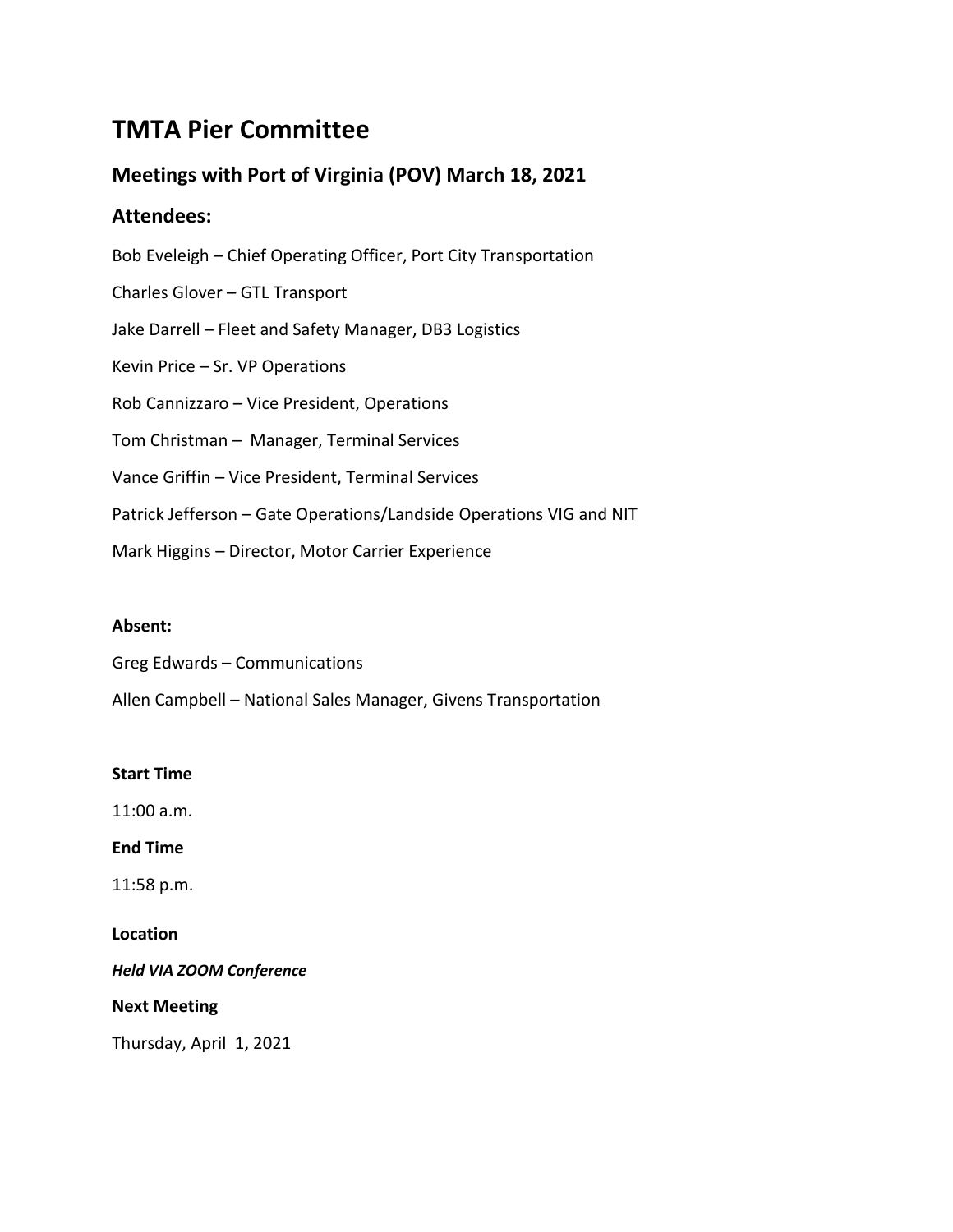# **TMTA Pier Committee**

## **Meetings with Port of Virginia (POV) March 18, 2021**

## **Attendees:**

Bob Eveleigh – Chief Operating Officer, Port City Transportation Charles Glover – GTL Transport Jake Darrell – Fleet and Safety Manager, DB3 Logistics Kevin Price – Sr. VP Operations Rob Cannizzaro – Vice President, Operations Tom Christman – Manager, Terminal Services Vance Griffin – Vice President, Terminal Services Patrick Jefferson – Gate Operations/Landside Operations VIG and NIT Mark Higgins – Director, Motor Carrier Experience

## **Absent:**

Greg Edwards – Communications

Allen Campbell – National Sales Manager, Givens Transportation

## **Start Time**

11:00 a.m.

**End Time**

11:58 p.m.

## **Location**

*Held VIA ZOOM Conference*

## **Next Meeting**

Thursday, April 1, 2021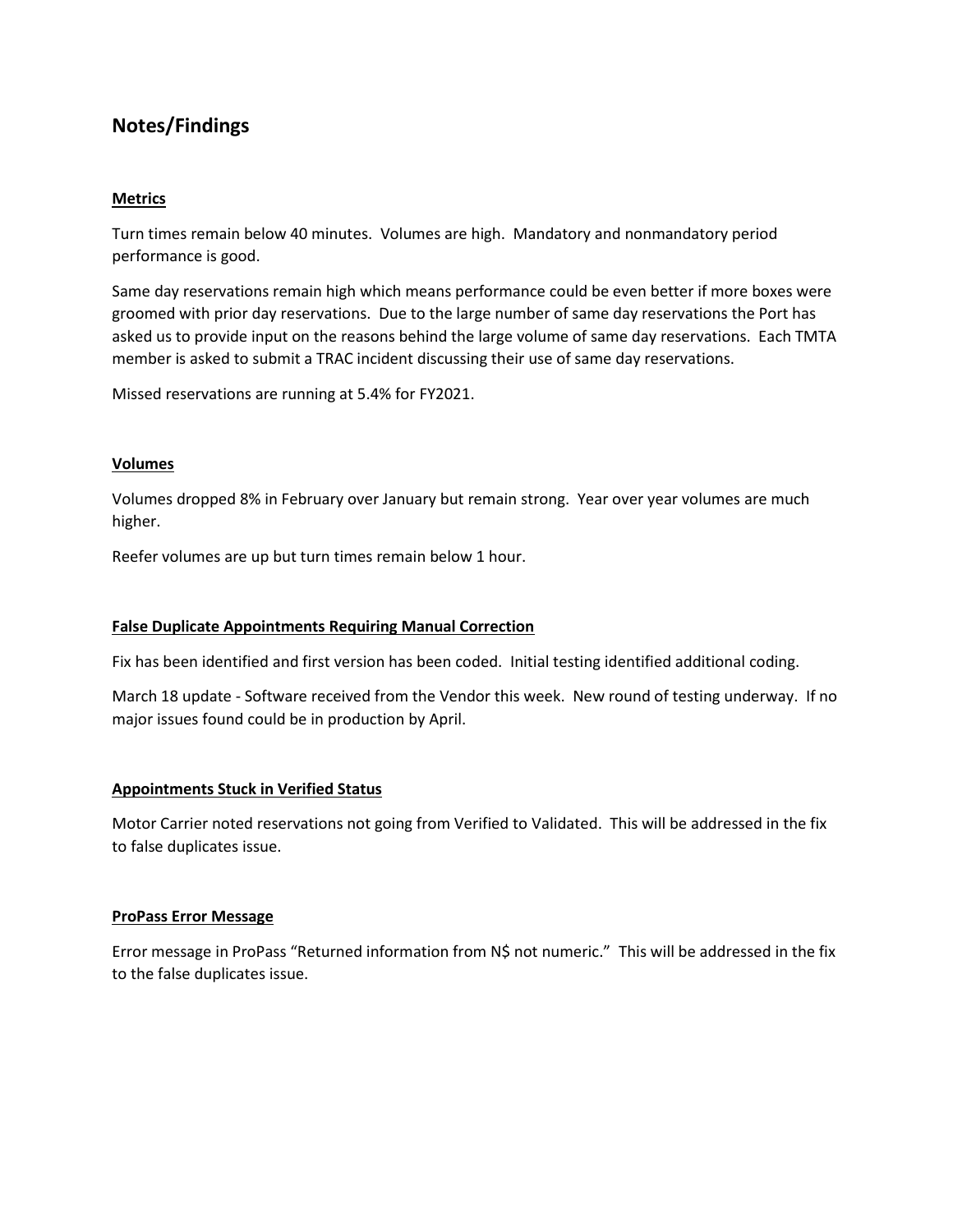## **Notes/Findings**

#### **Metrics**

Turn times remain below 40 minutes. Volumes are high. Mandatory and nonmandatory period performance is good.

Same day reservations remain high which means performance could be even better if more boxes were groomed with prior day reservations. Due to the large number of same day reservations the Port has asked us to provide input on the reasons behind the large volume of same day reservations. Each TMTA member is asked to submit a TRAC incident discussing their use of same day reservations.

Missed reservations are running at 5.4% for FY2021.

#### **Volumes**

Volumes dropped 8% in February over January but remain strong. Year over year volumes are much higher.

Reefer volumes are up but turn times remain below 1 hour.

#### **False Duplicate Appointments Requiring Manual Correction**

Fix has been identified and first version has been coded. Initial testing identified additional coding.

March 18 update - Software received from the Vendor this week. New round of testing underway. If no major issues found could be in production by April.

#### **Appointments Stuck in Verified Status**

Motor Carrier noted reservations not going from Verified to Validated. This will be addressed in the fix to false duplicates issue.

#### **ProPass Error Message**

Error message in ProPass "Returned information from N\$ not numeric." This will be addressed in the fix to the false duplicates issue.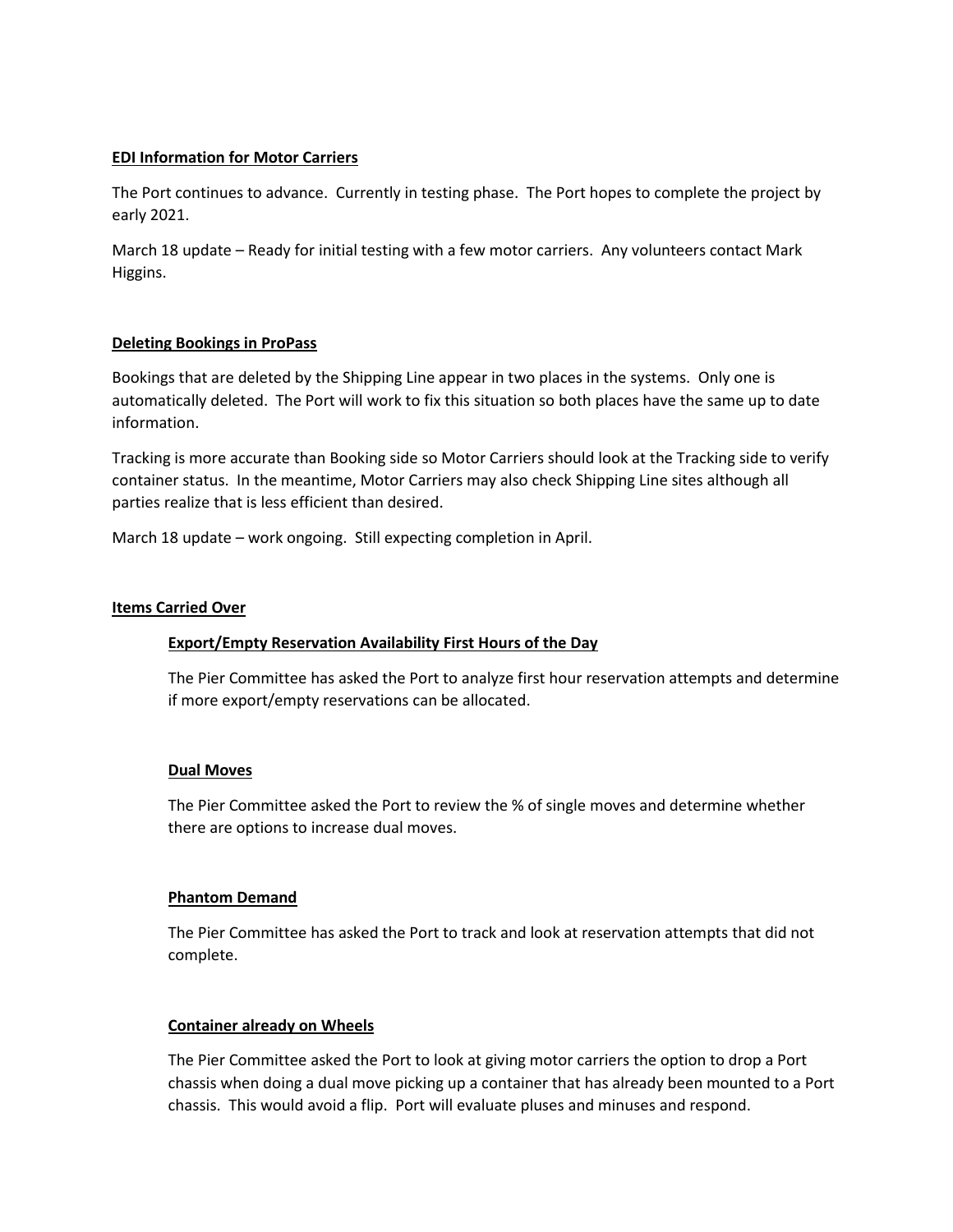#### **EDI Information for Motor Carriers**

The Port continues to advance. Currently in testing phase. The Port hopes to complete the project by early 2021.

March 18 update – Ready for initial testing with a few motor carriers. Any volunteers contact Mark Higgins.

#### **Deleting Bookings in ProPass**

Bookings that are deleted by the Shipping Line appear in two places in the systems. Only one is automatically deleted. The Port will work to fix this situation so both places have the same up to date information.

Tracking is more accurate than Booking side so Motor Carriers should look at the Tracking side to verify container status. In the meantime, Motor Carriers may also check Shipping Line sites although all parties realize that is less efficient than desired.

March 18 update – work ongoing. Still expecting completion in April.

#### **Items Carried Over**

#### **Export/Empty Reservation Availability First Hours of the Day**

The Pier Committee has asked the Port to analyze first hour reservation attempts and determine if more export/empty reservations can be allocated.

#### **Dual Moves**

The Pier Committee asked the Port to review the % of single moves and determine whether there are options to increase dual moves.

#### **Phantom Demand**

The Pier Committee has asked the Port to track and look at reservation attempts that did not complete.

#### **Container already on Wheels**

The Pier Committee asked the Port to look at giving motor carriers the option to drop a Port chassis when doing a dual move picking up a container that has already been mounted to a Port chassis. This would avoid a flip. Port will evaluate pluses and minuses and respond.